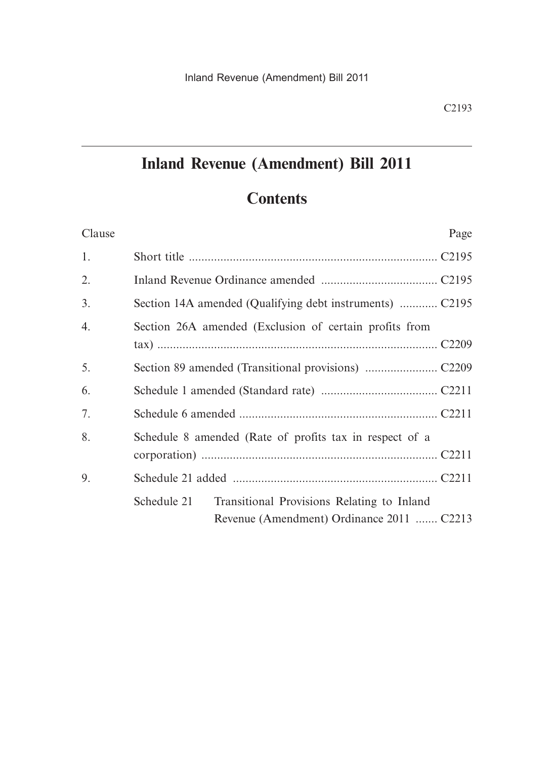# **Inland Revenue (Amendment) Bill 2011**

# **Contents**

| Clause | Page                                                                                                   |
|--------|--------------------------------------------------------------------------------------------------------|
| 1.     |                                                                                                        |
| 2.     |                                                                                                        |
| 3.     |                                                                                                        |
| 4.     | Section 26A amended (Exclusion of certain profits from                                                 |
| 5.     |                                                                                                        |
| 6.     |                                                                                                        |
| 7.     |                                                                                                        |
| 8.     | Schedule 8 amended (Rate of profits tax in respect of a                                                |
| 9.     |                                                                                                        |
|        | Schedule 21<br>Transitional Provisions Relating to Inland<br>Revenue (Amendment) Ordinance 2011  C2213 |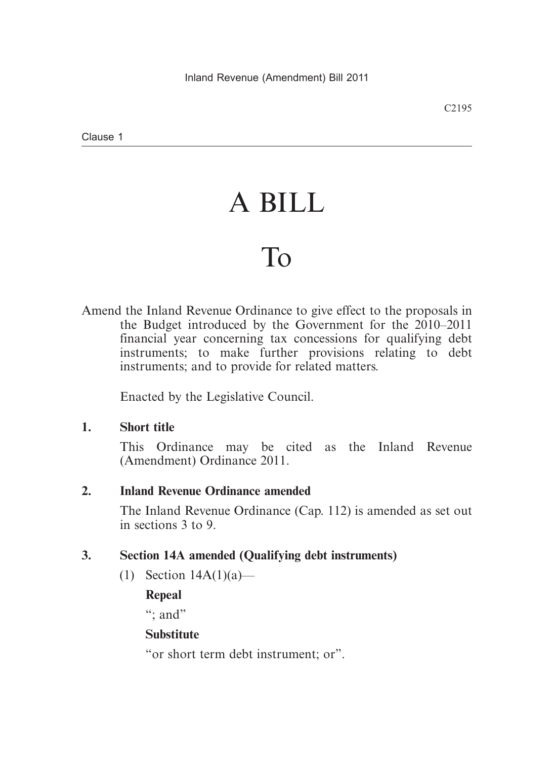# A BILL

# To

Amend the Inland Revenue Ordinance to give effect to the proposals in the Budget introduced by the Government for the 2010–2011 financial year concerning tax concessions for qualifying debt instruments; to make further provisions relating to debt instruments; and to provide for related matters.

Enacted by the Legislative Council.

# **1. Short title**

This Ordinance may be cited as the Inland Revenue (Amendment) Ordinance 2011.

# **2. Inland Revenue Ordinance amended**

The Inland Revenue Ordinance (Cap. 112) is amended as set out in sections 3 to 9.

# **3. Section 14A amended (Qualifying debt instruments)**

(1) Section 14A(1)(a)—

**Repeal**

": and"

# **Substitute**

"or short term debt instrument; or".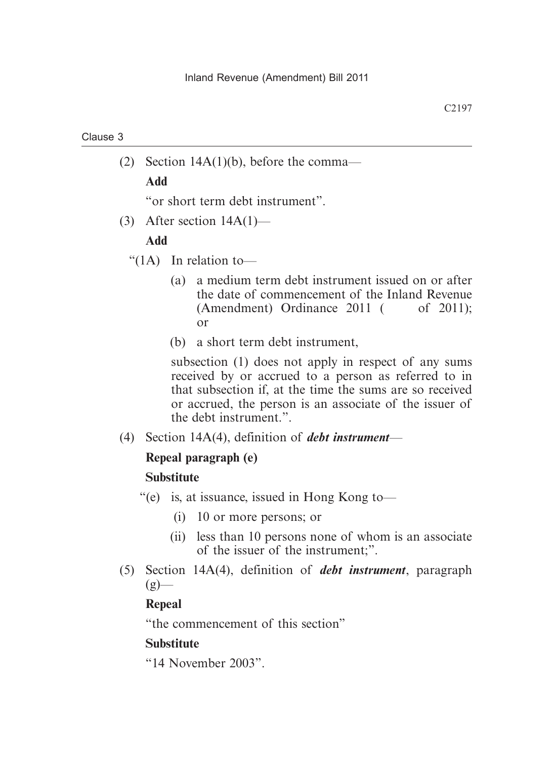(2) Section 14A(1)(b), before the comma—

**Add**

"or short term debt instrument".

(3) After section 14A(1)—

# **Add**

- " $(1A)$  In relation to-
	- (a) a medium term debt instrument issued on or after the date of commencement of the Inland Revenue  $(Amendment)$  Ordinance 2011  $($  of 2011); or
	- (b) a short term debt instrument,

subsection (1) does not apply in respect of any sums received by or accrued to a person as referred to in that subsection if, at the time the sums are so received or accrued, the person is an associate of the issuer of the debt instrument.".

(4) Section 14A(4), definition of *debt instrument*—

# **Repeal paragraph (e)**

# **Substitute**

- "(e) is, at issuance, issued in Hong Kong to—
	- (i) 10 or more persons; or
	- (ii) less than 10 persons none of whom is an associate of the issuer of the instrument;".
- (5) Section 14A(4), definition of *debt instrument*, paragraph  $(g)$ —

# **Repeal**

"the commencement of this section"

# **Substitute**

"14 November 2003".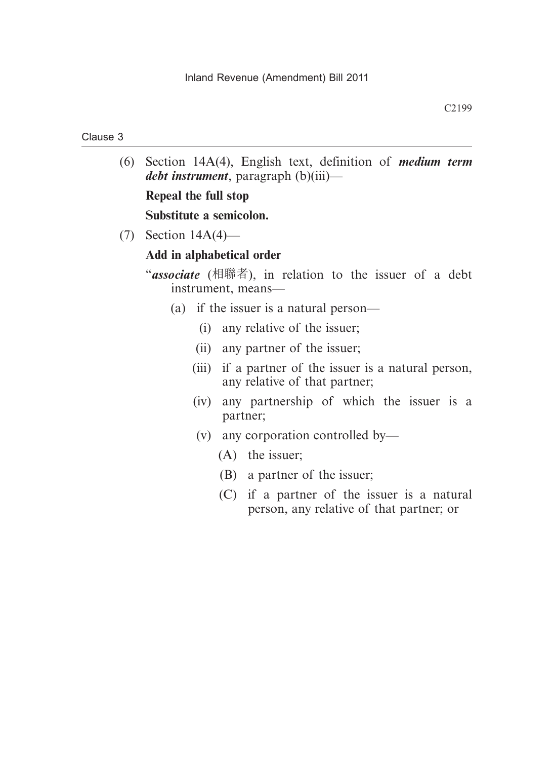#### C2199

#### Clause 3

 (6) Section 14A(4), English text, definition of *medium term debt instrument*, paragraph (b)(iii)—

### **Repeal the full stop**

#### **Substitute a semicolon.**

(7) Section 14A(4)—

### **Add in alphabetical order**

- "*associate* (相聯者), in relation to the issuer of a debt instrument, means—
	- (a) if the issuer is a natural person—
		- (i) any relative of the issuer;
		- (ii) any partner of the issuer;
		- (iii) if a partner of the issuer is a natural person, any relative of that partner;
		- (iv) any partnership of which the issuer is a partner;
		- (v) any corporation controlled by—
			- (A) the issuer;
			- (B) a partner of the issuer;
			- (C) if a partner of the issuer is a natural person, any relative of that partner; or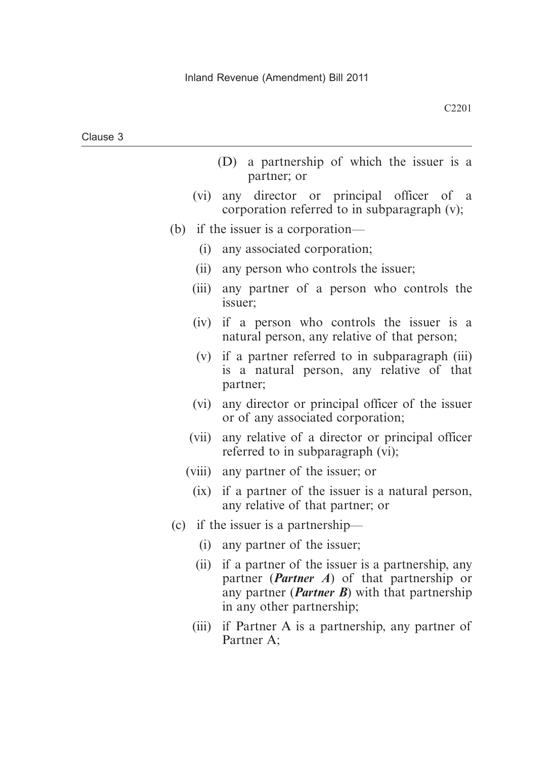| Clause 3 |  |
|----------|--|
|----------|--|

- (D) a partnership of which the issuer is a partner; or
- (vi) any director or principal officer of a corporation referred to in subparagraph (v);
- (b) if the issuer is a corporation—
	- (i) any associated corporation;
	- (ii) any person who controls the issuer;
	- (iii) any partner of a person who controls the issuer;
	- (iv) if a person who controls the issuer is a natural person, any relative of that person;
	- (v) if a partner referred to in subparagraph (iii) is a natural person, any relative of that partner;
	- (vi) any director or principal officer of the issuer or of any associated corporation;
	- (vii) any relative of a director or principal officer referred to in subparagraph (vi);
	- (viii) any partner of the issuer; or
		- (ix) if a partner of the issuer is a natural person, any relative of that partner; or
- (c) if the issuer is a partnership—
	- (i) any partner of the issuer;
	- (ii) if a partner of the issuer is a partnership, any partner (*Partner A*) of that partnership or any partner (*Partner B*) with that partnership in any other partnership;
	- (iii) if Partner A is a partnership, any partner of Partner A;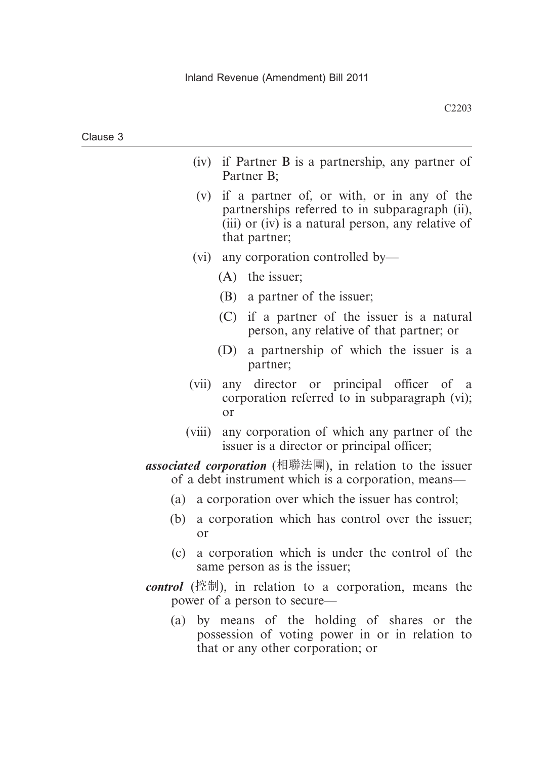- (iv) if Partner B is a partnership, any partner of Partner B;
- (v) if a partner of, or with, or in any of the partnerships referred to in subparagraph (ii), (iii) or (iv) is a natural person, any relative of that partner;
- (vi) any corporation controlled by—
	- (A) the issuer;
	- (B) a partner of the issuer;
	- (C) if a partner of the issuer is a natural person, any relative of that partner; or
	- (D) a partnership of which the issuer is a partner;
- (vii) any director or principal officer of a corporation referred to in subparagraph (vi); or
- (viii) any corporation of which any partner of the issuer is a director or principal officer;

*associated corporation* (相聯法團), in relation to the issuer of a debt instrument which is a corporation, means—

- (a) a corporation over which the issuer has control;
- (b) a corporation which has control over the issuer; or
- (c) a corporation which is under the control of the same person as is the issuer;
- *control* (控制), in relation to a corporation, means the power of a person to secure—
	- (a) by means of the holding of shares or the possession of voting power in or in relation to that or any other corporation; or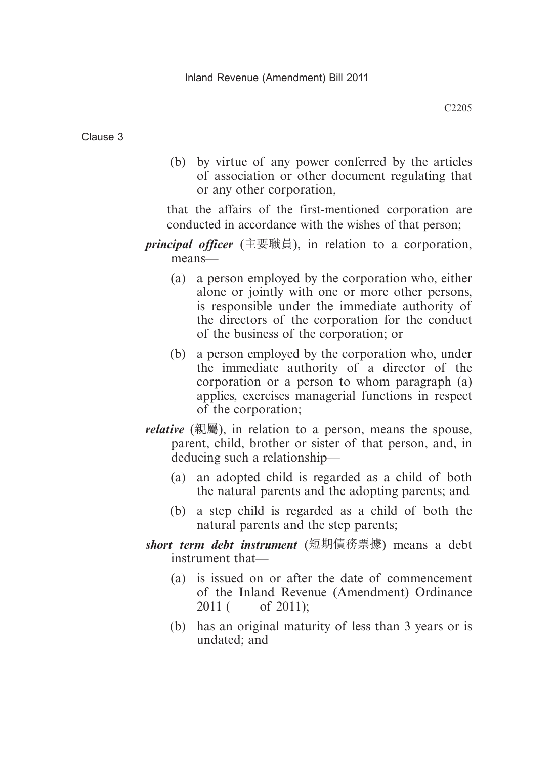(b) by virtue of any power conferred by the articles of association or other document regulating that or any other corporation,

that the affairs of the first-mentioned corporation are conducted in accordance with the wishes of that person;

- *principal officer* (主要職員), in relation to a corporation, means—
	- (a) a person employed by the corporation who, either alone or jointly with one or more other persons, is responsible under the immediate authority of the directors of the corporation for the conduct of the business of the corporation; or
	- (b) a person employed by the corporation who, under the immediate authority of a director of the corporation or a person to whom paragraph (a) applies, exercises managerial functions in respect of the corporation;
- *relative* (親屬), in relation to a person, means the spouse, parent, child, brother or sister of that person, and, in deducing such a relationship—
	- (a) an adopted child is regarded as a child of both the natural parents and the adopting parents; and
	- (b) a step child is regarded as a child of both the natural parents and the step parents;
- *short term debt instrument* (短期債務票據) means a debt instrument that—
	- (a) is issued on or after the date of commencement of the Inland Revenue (Amendment) Ordinance 2011 ( of 2011);
	- (b) has an original maturity of less than 3 years or is undated; and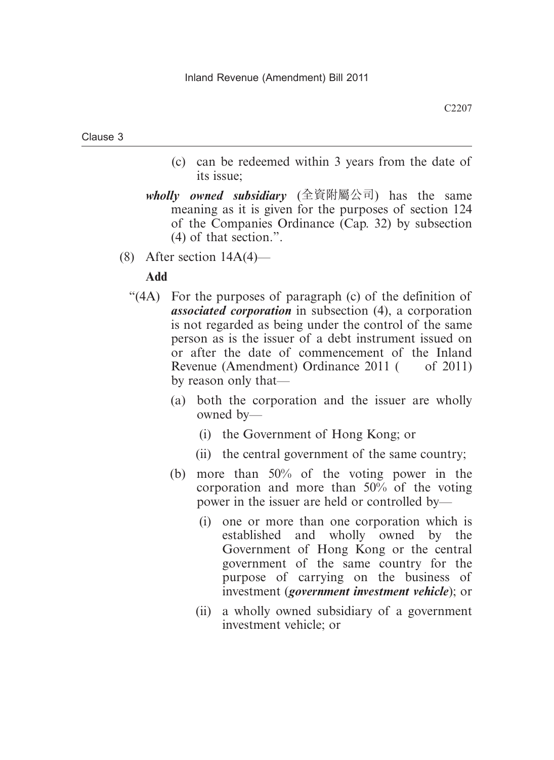- (c) can be redeemed within 3 years from the date of its issue;
- *wholly owned subsidiary* (全資附屬公司) has the same meaning as it is given for the purposes of section 124 of the Companies Ordinance (Cap. 32) by subsection (4) of that section.".
- (8) After section  $14A(4)$ —

# **Add**

- "(4A) For the purposes of paragraph (c) of the definition of *associated corporation* in subsection (4), a corporation is not regarded as being under the control of the same person as is the issuer of a debt instrument issued on or after the date of commencement of the Inland Revenue (Amendment) Ordinance 2011 ( of 2011) by reason only that—
	- (a) both the corporation and the issuer are wholly owned by—
		- (i) the Government of Hong Kong; or
		- (ii) the central government of the same country;
	- (b) more than 50% of the voting power in the corporation and more than 50% of the voting power in the issuer are held or controlled by—
		- (i) one or more than one corporation which is established and wholly owned by the Government of Hong Kong or the central government of the same country for the purpose of carrying on the business of investment (*government investment vehicle*); or
		- (ii) a wholly owned subsidiary of a government investment vehicle; or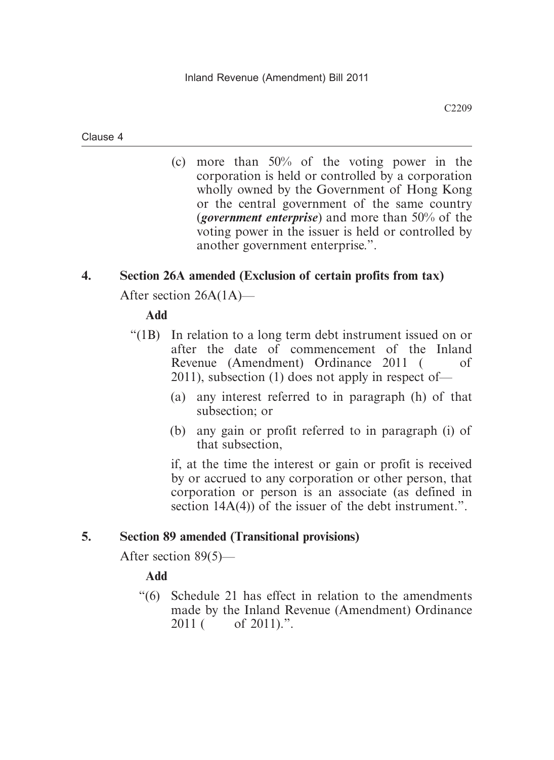(c) more than 50% of the voting power in the corporation is held or controlled by a corporation wholly owned by the Government of Hong Kong or the central government of the same country (*government enterprise*) and more than 50% of the voting power in the issuer is held or controlled by another government enterprise.".

# **4. Section 26A amended (Exclusion of certain profits from tax)**

After section 26A(1A)—

# **Add**

- "(1B) In relation to a long term debt instrument issued on or after the date of commencement of the Inland Revenue (Amendment) Ordinance 2011 ( of 2011), subsection (1) does not apply in respect of—
	- (a) any interest referred to in paragraph (h) of that subsection; or
	- (b) any gain or profit referred to in paragraph (i) of that subsection,

if, at the time the interest or gain or profit is received by or accrued to any corporation or other person, that corporation or person is an associate (as defined in section 14A(4)) of the issuer of the debt instrument.".

# **5. Section 89 amended (Transitional provisions)**

After section 89(5)—

**Add**

 "(6) Schedule 21 has effect in relation to the amendments made by the Inland Revenue (Amendment) Ordinance 2011 ( of 2011).".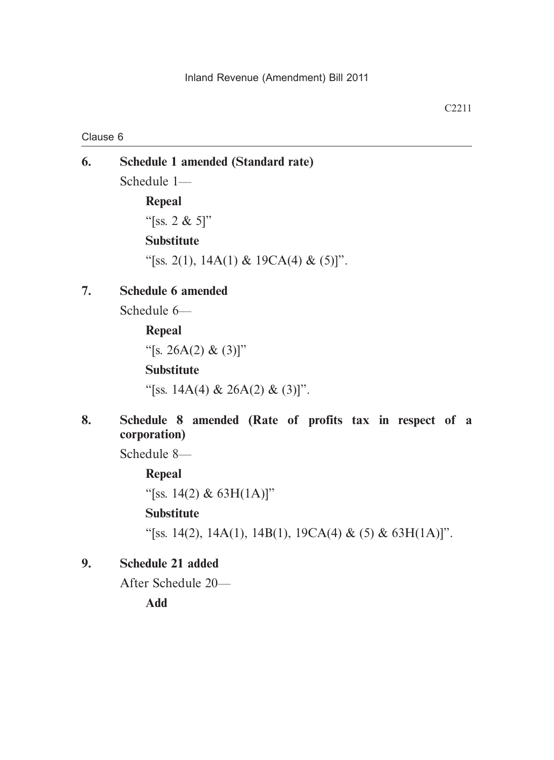# **6. Schedule 1 amended (Standard rate)** Schedule 1— **Repeal**

"[ss. 2 & 5]" **Substitute** "[ss. 2(1), 14A(1) & 19CA(4) & (5)]".

# **7. Schedule 6 amended**

Schedule 6—

# **Repeal** "[s. 26A(2) & (3)]" **Substitute**

"[ss. 14A(4) & 26A(2) & (3)]".

# **8. Schedule 8 amended (Rate of profits tax in respect of a corporation)**

Schedule 8—

**Repeal**

"[ss. 14(2) &  $63H(1A)$ ]"

# **Substitute**

"[ss. 14(2), 14A(1), 14B(1), 19CA(4) & (5) & 63H(1A)]".

# **9. Schedule 21 added**

After Schedule 20—

**Add**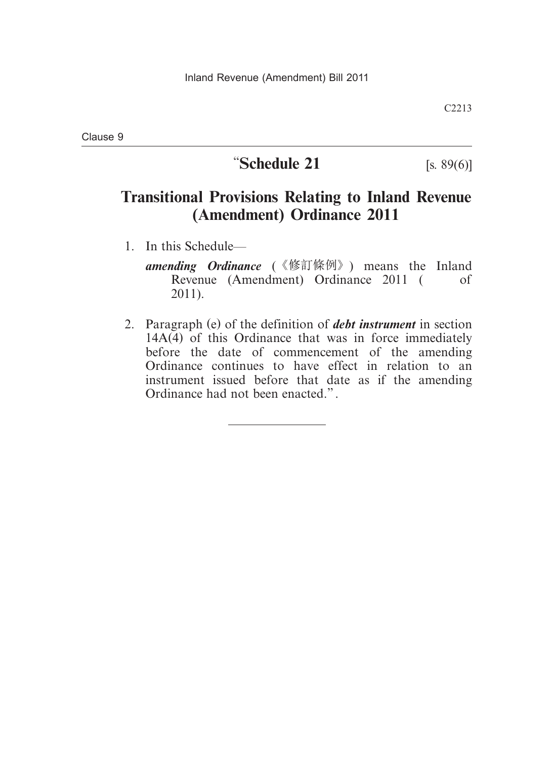# **"Schedule 21** [s. 89(6)]

C2213

# **Transitional Provisions Relating to Inland Revenue (Amendment) Ordinance 2011**

- 1. In this Schedule
	- *amending Ordinance* (《修訂條例》) means the Inland Revenue (Amendment) Ordinance 2011 ( of 2011).
- 2. Paragraph (e) of the definition of *debt instrument* in section  $14A(4)$  of this Ordinance that was in force immediately before the date of commencement of the amending Ordinance continues to have effect in relation to an instrument issued before that date as if the amending Ordinance had not been enacted.".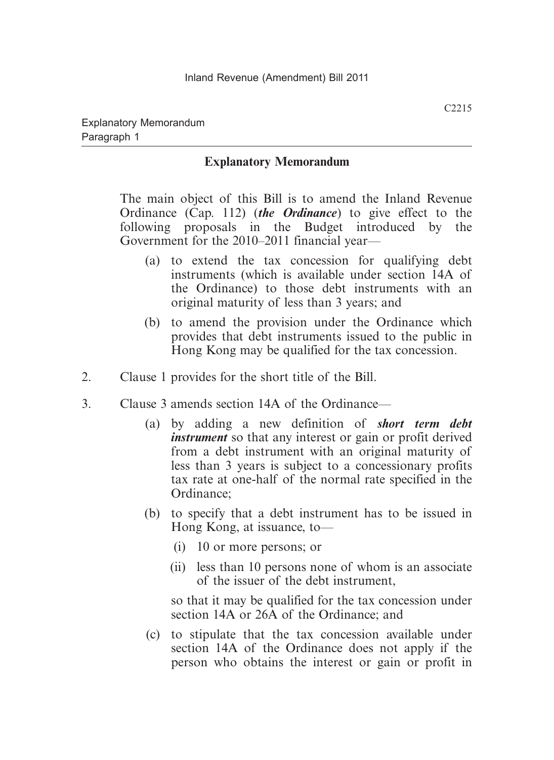# **Explanatory Memorandum**

The main object of this Bill is to amend the Inland Revenue Ordinance (Cap. 112) (*the Ordinance*) to give effect to the following proposals in the Budget introduced by the Government for the 2010–2011 financial year—

- (a) to extend the tax concession for qualifying debt instruments (which is available under section 14A of the Ordinance) to those debt instruments with an original maturity of less than 3 years; and
- (b) to amend the provision under the Ordinance which provides that debt instruments issued to the public in Hong Kong may be qualified for the tax concession.
- 2. Clause 1 provides for the short title of the Bill.
- 3. Clause 3 amends section 14A of the Ordinance—
	- (a) by adding a new definition of *short term debt instrument* so that any interest or gain or profit derived from a debt instrument with an original maturity of less than 3 years is subject to a concessionary profits tax rate at one-half of the normal rate specified in the Ordinance;
	- (b) to specify that a debt instrument has to be issued in Hong Kong, at issuance, to—
		- (i) 10 or more persons; or
		- (ii) less than 10 persons none of whom is an associate of the issuer of the debt instrument,

so that it may be qualified for the tax concession under section 14A or 26A of the Ordinance; and

 (c) to stipulate that the tax concession available under section 14A of the Ordinance does not apply if the person who obtains the interest or gain or profit in